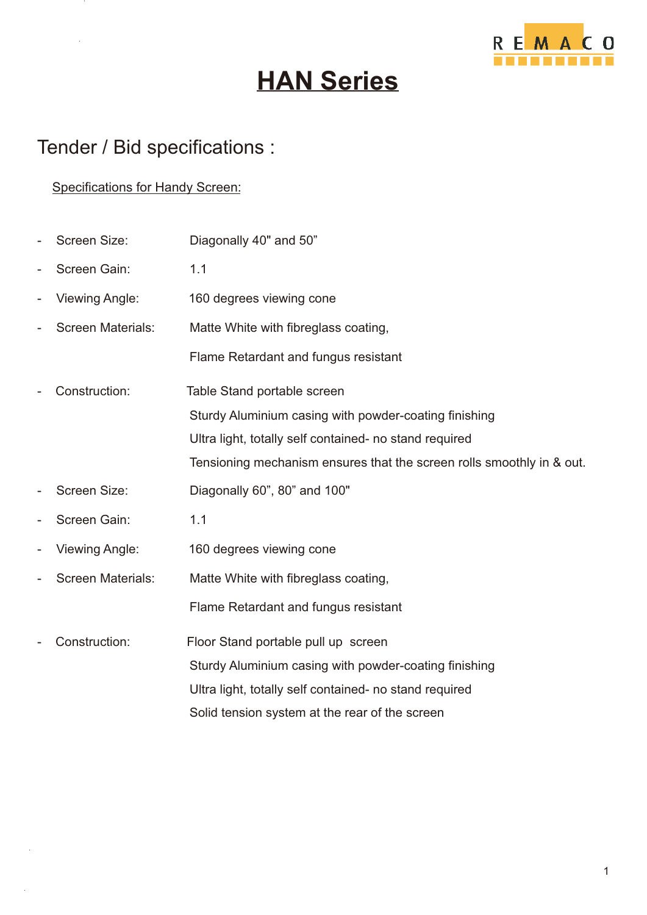

# **HAN Series**

### Tender / Bid specifications :

### Specifications for Handy Screen:

| $\overline{\phantom{0}}$ | Screen Size:             | Diagonally 40" and 50"                                                |
|--------------------------|--------------------------|-----------------------------------------------------------------------|
|                          | Screen Gain:             | 1.1                                                                   |
| $\overline{\phantom{0}}$ | <b>Viewing Angle:</b>    | 160 degrees viewing cone                                              |
|                          | <b>Screen Materials:</b> | Matte White with fibreglass coating,                                  |
|                          |                          | Flame Retardant and fungus resistant                                  |
|                          | Construction:            | Table Stand portable screen                                           |
|                          |                          | Sturdy Aluminium casing with powder-coating finishing                 |
|                          |                          | Ultra light, totally self contained- no stand required                |
|                          |                          | Tensioning mechanism ensures that the screen rolls smoothly in & out. |
|                          | <b>Screen Size:</b>      | Diagonally 60", 80" and 100"                                          |
| $\overline{\phantom{a}}$ | Screen Gain:             | 1.1                                                                   |
| $\overline{a}$           | <b>Viewing Angle:</b>    | 160 degrees viewing cone                                              |
| $\overline{a}$           | <b>Screen Materials:</b> | Matte White with fibreglass coating,                                  |
|                          |                          | Flame Retardant and fungus resistant                                  |
|                          | Construction:            | Floor Stand portable pull up screen                                   |
|                          |                          | Sturdy Aluminium casing with powder-coating finishing                 |
|                          |                          | Ultra light, totally self contained- no stand required                |
|                          |                          | Solid tension system at the rear of the screen                        |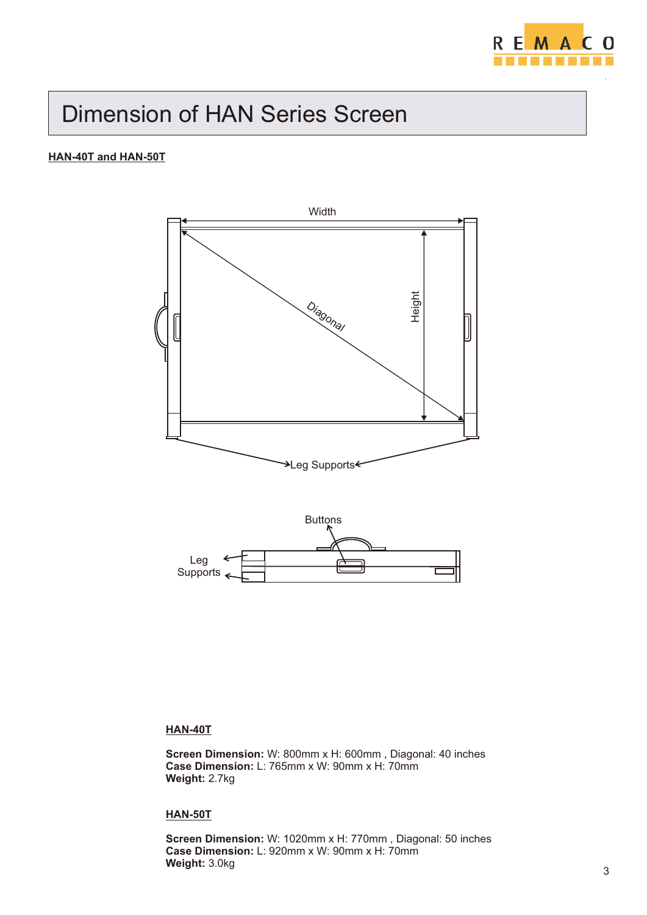

## Dimension of HAN Series Screen

### **HAN-40T and HAN-50T**





### **HAN-40T**

**Screen Dimension:** W: 800mm x H: 600mm , Diagonal: 40 inches **Case Dimension:** L: 765mm x W: 90mm x H: 70mm **Weight:** 2.7kg

### **HAN-50T**

**Screen Dimension:** W: 1020mm x H: 770mm , Diagonal: 50 inches **Case Dimension:** L: 920mm x W: 90mm x H: 70mm **Weight:** 3.0kg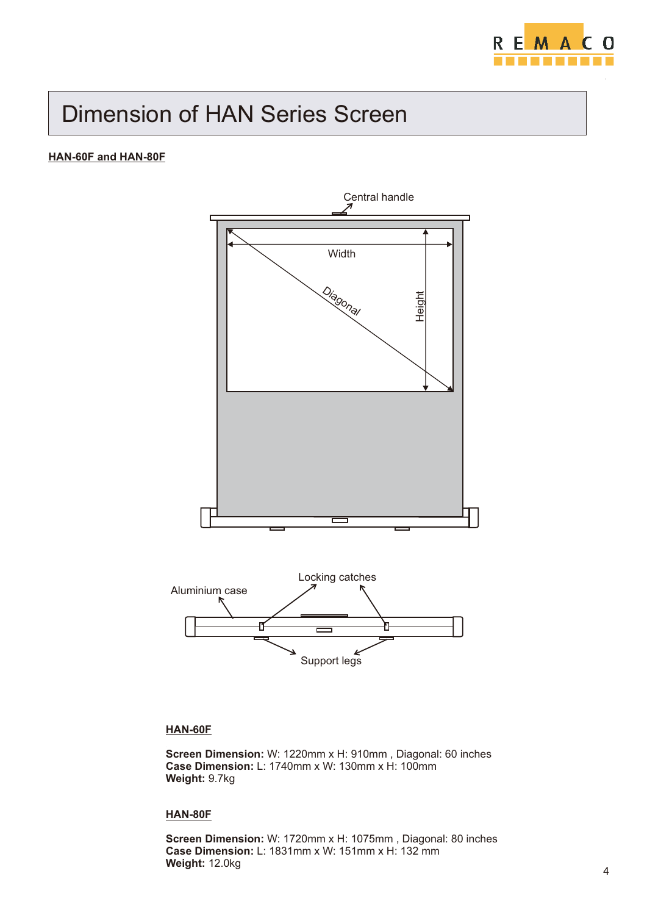

# Dimension of HAN Series Screen

### **HAN-60F and HAN-80F**



### **HAN-60F**

**Screen Dimension:** W: 1220mm x H: 910mm , Diagonal: 60 inches **Case Dimension:** L: 1740mm x W: 130mm x H: 100mm **Weight:** 9.7kg

### **HAN-80F**

**Screen Dimension:** W: 1720mm x H: 1075mm , Diagonal: 80 inches **Case Dimension:** L: 1831mm x W: 151mm x H: 132 mm **Weight:** 12.0kg